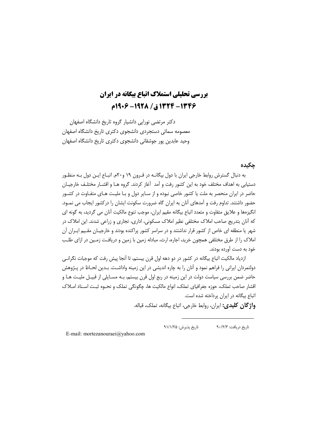# **بررسی تحلیلی استملاک اتباع بیگانه در ایران** 1346- 1324 ق/ 1918- 1966م

دکتر مرتضی نورایی دانشیار گروه تاریخ دانشگاه اصفهان معصومه سمائی دستجردی دانشجوی دکتری تاریخ دانشگاه اصفهان وحید عابدین پور جوشقانی دانشجوی دکتری تاریخ دانشگاه اصفهان

# جكيده

به دنبال گسترش روابط خارجی ایران با دول بیگانـه در قـرون ۱۹ و۲۰م. اتبـاع ایـن دول بـه منظـور دستیابی به اهداف مختلف خود به این کشور رفت و آمد آغاز کردند. گروه هـا و اقشـار مختلـف خارجیـان حاضر در ایران منحصر به ملت یا کشور خاصی نبوده و از سـایر دول و بـا ملیـت هـای متفـاوت در کشـور حضور داشتند. تداوم رفت و آمدهای آنان به ایران گاه ضرورت سکونت ایشان را درکشور ایجاب می نمـود. انگیزهها و علایق متفاوت و متعدد اتباع بیگانه مقیم ایران، موجب تنوع مالکیت آنان می گردید، به گونه ای که آنان بتدریج صاحب املاک مختلفی نظیر املاک مسکونی، اداری، تجاری و زراعی شدند. این املاک در شهر یا منطقه ای خاص از کشور قرار نداشتند و در سراسر کشور پراکنده بودند و خارجیـان مقـیم ایـران آن املاک را از طرق مختلفی همچون خرید، اجاره، ارث، مبادله زمین با زمین و دریافت زمـین در ازای طلـب خود به دست آورده بودند.

ازدیاد مالکیت اتباع بیگانه در کشور در دو دهه اول قرن بیستم، تا اَنجا پیش رفت که موجبات نگرانبی دولتمردان ایرانی را فراهم نمود و آنان را به چاره اندیشی در این زمینه واداشـت. بـدین لحــاظ در پــژوهش حاضر ضمن بررسی سیاست دولت در این زمینه در ربع اول قرن بیستم، بـه مسـایلی از قبیـل ملیـت هـا و اقشار صاحب تملک، حوزه جغرافیای تملک، انواع مالکیت ها، چگونگی تملک و نحـوه ثبـت اسـناد امـلاک اتباع بیگانه در ایران پرداخته شده است.

و**اژ گان کلیدی:** ایران، روابط خارجی، اتباع بیگانه، تملک، قباله.

تاريخ پذيرش: ٩١/١/٢۵ تاریخ دریافت: ۹۰/۲/۳

E-mail: mortezanouraei@yahoo.com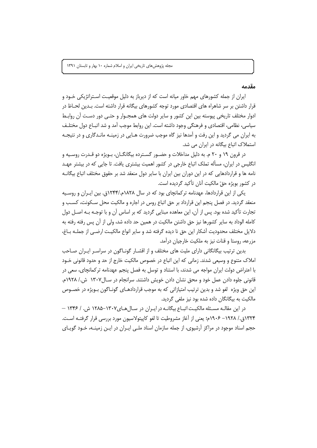# مقدمه

ایران از جمله کشورهای مهم خاور میانه است که از دیرباز به دلیل موقعیت اسـتراتژیکی خـود و قرار داشتن بر سر شاهراه های اقتصادی مورد توجه کشورهای بیگانه قرار داشته است. بـدین لحـاظ در ادوار مختلف تاریخی پیوسته بین این کشور و سایر دولت های همجـوار و حتـی دور دسـت آن روابـط سیاسی، نظامی، اقتصادی و فرهنگی وجود داشته است. این روابط موجب آمد و شد اتبـاع دول مختلـف به ایران می گردید و این رفت و آمدها نیز گاه موجب ضرورت هـایی در زمینـه مانـدگاری و در نتیجـه استملاک اتباع بیگانه در ایران می شد.

در قرون ۱۹ و ۲۰ م. به دلیل مداخلات و حضـور گسـترده بیگانگـان، بـویژه دو قـدرت روسـیه و انگلیس در ایران، مسأله تملک اتباع خارجی در کشور اهمیت بیشتری یافت. تا جایی که در بیشتر عهـد نامه ها و قراردادهایی که در این دوران بین ایران با سایر دول منعقد شد بر حقوق مختلف اتباع بیگانــه در كشور بويژه حقّ مالكيت آنان تأكيد گرديده است.

یکی از این قراردادها، عهدنامه ترکمانچای بود که در سال ۱۸۲۸م./۱۲۴۴ق. بین ایـران و روسـیه منعقد گردید. در فصل پنجم این قرارداد بر حق اتباع روس در اجاره و مالکیت محل سـکونت، کسـب و تجارت تأکید شده بود. پس از آن، این معاهده مبنایی گردید که بر اساس آن و با توجـه بـه اصــل دول کامله الوداد به سایر کشورها نیز حق داشتن مالکیت در همین حد داده شد، ولی از آن پس رفته رفته به دلایل مختلف محدودیت آشکار این حق نا دیده گرفته شد و سایر انواع مالکیـت ارضـی از جملــه بــاغ، مزرعه، روستا و قنات نیز به ملکیت خارجیان درآمد.

بدین ترتیب بیگانگانی دارای ملیت های مختلف و از اقشـار گونـاگون در سراسـر ایـران صـاحب املاک متنوع و وسیعی شدند. زمانی که این اتباع در خصوص مالکیت خارج از حد و حدود قانونی خـود با اعتراض دولت ایران مواجه می شدند، با استناد و توسل به فصل پنجم عهدنامه ترکمانچای، سعی در قانونی جلوه دادن عمل خود و محق نشان دادن خویش داشتند. سرانجام در سـال۱۳۰۷ ش./ ۱۹۲۸م. این حق ویژه لغو شد و بدین ترتیب امتیازاتی که به موجب قراردادهـای گونـاگون بـویژه در خصـوص مالکیت به بیگانگان داده شده بود نیز ملغی گردید.

در این مقالـه مسـئله مالکیـت اتبـاع بیگانــه در ایــران در سـال هـای١٣٠٧-١٢٨۵ ش. / ١٣۴۶ – ۱۳۲۴ق./ ۱۹۲۸– ۱۹۰۶م؛ یعنی از آغاز مشروطیت تا لغو کاپیتولاسیون مورد بررسی قرار گرفتـه اسـت. حجم اسناد موجود در مراکز آرشیوی، از جمله سازمان اسناد ملـی ایـران در ایـن زمینـه، خـود گویـای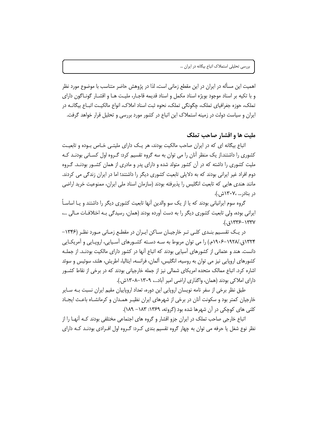اهمیت این مسأله در ایران در این مقطع زمانی است، لذا در پژوهش حاضر متناسب با موضوع مورد نظر و با تکيه بر اسناد موجود بويژه اسناد مکمل و اسناد قديمه قاجـار، مليـت هـا و اقشـار گونـاگون داراي تملک، حوزه جغرافیای تملک، چگونگی تملک، نحوه ثبت اسناد املاک، انواع مالکیـت اتبــاع بیگانــه در ایران و سیاست دولت در زمینه استملاک این اتباع در کشور مورد بررسی و تحلیل قرار خواهد گرفت.

### مليت ها و اقشار صاحب تملک

اتباع بیگانه ای که در ایران صاحب مالکیت بودند، هر یـک دارای ملیتـی خـاص بـوده و تابعیـت کشوری را داشتند.از یک منظر آنان را می توان به سه گروه تقسیم کرد: گـروه اول کسـانی بودنـد کـه ملیت کشوری را داشته که در آن کشور متولد شده و دارای پدر و مادری از همان کشـور بودنـد. گـروه دوم افراد غیر ایرانی بودند که به دلایلی تابعیت کشوری دیگر را داشتند؛ اما در ایران زندگی می کردند. مانند هندی هایی که تابعیت انگلیس را پذیرفته بودند (سازمان اسناد ملی ایران، ممنوعیت خرید اراضی در بنادر... ،۱۳۰۷ش.).

گروه سوم ایرانیانی بودند که یا از یک سو والدین اَنها تابعیت کشوری دیگر را داشتند و یــا اساسـاً ــــــــــــــ ایرانی بوده، ولی تابعیت کشوری دیگر را به دست آورده بودند (همان، رسیدگی بـه اختلافـات مـالی …،  $(., 51775 - 1777)$ 

در یک تقسیم بنـدی کلـی تـر خارجیـان سـاکن ایـران در مقطـع زمـانی مـورد نظـر (۱۳۴۶– ۱۳۲۴ق./۱۹۲۸–۱۹۰۶م.) را می توان مربوط به سـه دسـته کشـورهای آسـیایی، اروپـایی و آمریکـایی دانست. هند و عثمانی از کشورهای آسیایی بودند که اتباع آنها در کشور دارای مالکیت بودنـد. از جملـه کشورهای اروپایی نیز می توان به روسیه، انگلیس، آلمان، فرانسه، ایتالیا، اطریش، هلند، سوئیس و سوئد اشاره کرد. اتباع ممالک متحده امریکای شمالی نیز از جمله خارجیانی بودند که در برخی از نقاط کشــور دارای املاکی بودند (همان، واگذاری اراضی امیر آباد...، ۱۳۰۹–۱۳۰۸ش.).

طبق نظر برخی از سفر نامه نویسان اروپایی این دوره، تعداد اروپاییان مقیم ایران نسبت بـه سـایر خارجیان کمتر بود و سکونت آنان در برخی از شهرهای ایران نظیـر همـدان و کرمانشــاه باعـث ایجــاد کلنی های کوچکی در آن شهرها شده بود (گروته، ۱۳۶۹: ۱۸۳– ۱۸۹).

اتباع خارجی صاحب تملک در ایران جزو اقشار و گروه های اجتماعی مختلفی بودند کـه آنهـا را از نظر نوع شغل یا حرفه می توان به چهار گروه تقسیم بندی کـرد: گـروه اول افـرادی بودنـد کـه دارای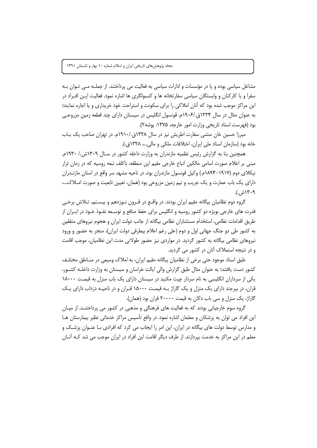مشاغل سیاسی بوده و یا در مؤسسات و ادارات سیاسی به فعالیت می پرداختند. از جملـه مـی تـوان بـه سفرا و یا کارکنان و وابستگان سیاسی سفارتخانه ها و کنسولگری ها اشاره نمود. فعالیت ایـن افـراد در این مراکز موجب شده بود که آنان املاکی را برای سکونت و استراحت خود خریداری و یا اجاره نمایند؛ به عنوان مثال در سال ۱۳۲۴ق./۱۹۰۶م. قونسول انگلیس در سیستان دارای چند قطعه زمین مزروعی بود (فهرست اسناد تاریخی وزارت امور خارجه، ۱۳۷۵: پوشه۲).

میرزا حسین خان منشی سفارت اطریش نیز در سال ۱۳۲۸ق./۱۹۱۰م. در تهران صاحب یک بـاب خانه بود (سازمان اسناد ملي ايران، اختلافات ملكي و مالي...، ١٣٢٨ق.).

همچنین بنا به گزارش رئیس نظمیه مازندران به وزارت داخله کشور در سـال ۱۳۰۹ش./ ۱۹۳۰م. مبنی بر اعلام صورت اسامی مالکین اتباع خارجی مقیم این منطقه، باکلف تبعه روسیه که در زمان تزار نیکلای دوم (۱۹۱۷–۱۸۹۴م.) وکیل قونسول مازندران بود، در ناحیه مشهد سر واقع در استان مازنـدران دارای یک باب عمارت و یک جریب و نیم زمین مزروعی بود (همان، تعیین تابعیت و صورت امـلاک...، ۲۰۹ ش.).

گروه دوم نظامیان بیگانه مقیم ایران بودند. در واقع در قـرون نـوزدهم و بیسـتم، تـلاش برخـی قدرت های خارجی بویژه دو کشور روسیه و انگلیس برای حفظ منافع و توسـعه نفـوذ خـود در ایـران از طريق اقدامات نظامي، استخدام مستشاران نظامي بيگانه از جانب دولت ايران و هجوم نيروهاي متفقين به کشور طی دو جنگ جهانی اول و دوم (علی رغم اعلام بیطرفی دولت ایران)، منجر به حضور و ورود نیروهای نظامی بیگانه به کشور گردید. در مواردی نیز حضور طولانی مدت این نظامیان، موجب اقامت و در نتیجه استملاک آنان در کشور می گردید.

طبق اسناد موجود حتی برخی از نظامیان بیگانه مقیم ایران، به املاک وسیعی در منـاطق مختلـف کشور دست یافتند؛ به عنوان مثال طبق گزارش والی ایالت خراسان و سیستان به وزارت داخلـه کشـور، یکی از سرداران انگلیسی به نام سردار چیت مکنید در سیستان دارای یک باب منزل به قیمت ١٨٠٠٠ قران، در بیرجند دارای یک منزل و یک گاراژ بـه قیمـت ۱۵۰۰۰ قـران و در ناحیـه دزداب دارای یـک گاراژ، یک منزل و سی باب دکان به قیمت ۲۰۰۰۰ قران بود (همان).

گروه سوم خارجیانی بودند که به فعالیت های فرهنگی و مذهبی در کشور می پرداختنـد. از میـان این افراد می توان به پزشکان و معلمان اشاره نمود. در واقع تأسیس مراکز خدماتی نظیر بیمارستان هـا و مدارس توسط دولت های بیگانه در ایران، این امر را ایجاب می کرد که افرادی بـا عنـوان پزشـک و معلم در این مراکز به خدمت بیردازند. از طرف دیگر اقامت این افراد در ایران موجب می شد کـه آنـان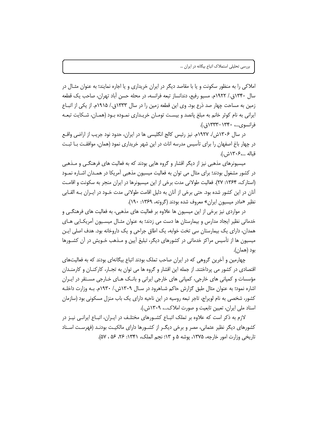املاکی را به منظور سکونت و یا با مقاصد دیگر در ایران خریداری و یا اجاره نمایند؛ به عنوان مثـال در سال ۱۳۴۰ق./ ۱۹۲۲م. مسیو رفیع، دندانساز تبعه فرانسه، در محله حسن آباد تهران، صاحب یک قطعه زمین به مساحت چهار صد ذرع بود. وی این قطعه زمین را در سال ۱۳۳۳ق./ ۱۹۱۵م. از یکی از اتباع ایرانی به نام کوثر خانم به مبلغ پانصد و بیست تومـان خریـداری نمـوده بـود (همـان، شـکایت تبعـه فرانسوی...، ١٣٣٠-١٣٣٣ق.).

در سال ۱۳۰۶ش/ ۱۹۲۷م. نیز رئیس کالج انگلیسی ها در ایران، حدود نود جریب از اراضی واقـع در چهار باغ اصفهان را برای تأسیس مدرسه اناث در این شهر خریداری نمود (همان، موافقـت بــا ثبــت قىالە ...،۱۳۰۶ش.).

میسیونرهای مذهبی نیز از دیگر اقشار و گروه هایی بودند که به فعالیت های فرهنگـی و مـذهبی در کشور مشغول بودند؛ برای مثال می توان به فعالیت میسیون مذهبی آمریکا در همـدان اشـاره نمـود (استارک، ۱۳۶۴: ۲۷). فعالیت طولانی مدت برخی از این میسیونرها در ایران منجر به سکونت و اقامت آنان در این کشور شده بود. حتی برخی از آنان به دلیل اقامت طولانی مدت خــود در ایــران بــه القــابی نظیر «مادر میسیون ایران» معروف شده بودند (گروته، ۱۳۶۹: ۱۹۰).

در مواردی نیز برخی از این میسیون ها علاوه بر فعالیت های مذهبی، به فعالیت های فرهنگـی و خدماتی نظیر ایجاد مدارس و بیمارستان ها دست می زدند؛ به عنوان مثـال میسـیون أمریکـایی هـای همدان، دارای یک بیمارستان سی تخت خوابه، یک اطاق جراحی و یک داروخانه بود. هدف اصلی ایـن میسیون ها از تأسیس مراکز خدماتی در کشورهای دیگر، تبلیغ آیین و مـذهب خـویش در آن کشـورها بود (همان).

چهارمین و اَخرین گروهی که در ایران صاحب تملک بودند اتباع بیگانهای بودند که به فعالیتهای اقتصادی در کشور می پرداختند. از جمله این اقشار و گروه ها می توان به تجـار، کارکنـان و کارمنـدان مؤسسات و کمپانی های خارجی، کمپانی های خارجی ایرانی و بانک هـای خـارجی مسـتقر در ایـران اشاره نمود؛ به عنوان مثال طبق گزارش حاکم شـاهرود در سـال ۱۳۰۹ش./ ۱۹۳۰م. بـه وزارت داخلـه کشور، شخصی به نام لویراج، تاجر تبعه روسیه در این ناحیه دارای یک باب منزل مسکونی بود (سازمان اسناد ملي ايران، تعيين تابعيت و صورت املاك...، ١٣٠٩ش.).

لازم به ذکر است که علاوه بر تملک اتبـاع کشـورهای مختلـف در ایـران، اتبـاع ایرانـی نیـز در کشورهای دیگر نظیر عثمانی، مصر و برخی دیگـر از کشـورها دارای مالکیـت بودنـد (فهرسـت اسـناد تاريخي وزارت امور خارجه، ١٣٧۵، يوشه ۵ و ١٣: نجم الملک، ١٣۴١: ٢۶، ۵۶، ۵۷).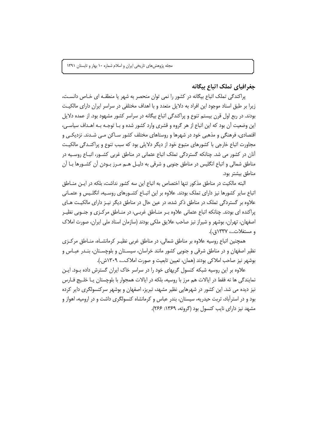جغرافياي تملك اتباع بيگانه

پراکندگی تملک اتباع بیگانه در کشور را نمی توان منحصر به شهر یا منطقـه ای خـاص دانسـت، زیرا بر طبق اسناد موجود این افراد به دلایل متعدد و با اهداف مختلفی در سراسر ایران دارای مالکیـت بودند. در ربع اول قرن بیستم تنوع و پراکندگی اتباع بیگانه در سراسر کشور مشهود بود. از عمده دلایل این وضعیت آن بود که این اتباع از هر گروه و قشری وارد کشور شده و بـا توجـه بـه اهـداف سیاسـی، اقتصادی، فرهنگی و مذهبی خود در شهرها و روستاهای مختلف کشور سـاکن مـی شـدند. نزدیکـی و مجاورت اتباع خارجی با کشورهای متبوع خود از دیگر دلایلی بود که سبب تنوع و پراکنـدگی مالکیـت آنان در کشور می شد. چنانکه گستردگی تملک اتباع عثمانی در مناطق غربی کشـور، اتبـاع روسـیه در مناطق شمالی و اتباع انگلیس در مناطق جنوبی و شرقی به دلیـل هـم مـرز بـودن آن کشـورها بـا آن مناطق بيشتر بود.

البته مالكيت در مناطق مذكور تنها اختصاص به اتباع اين سه كشور نداشت، بلكه در ايـن منـاطق اتباع سایر کشورها نیز دارای تملک بودند. علاوه بر این اتبـاع کشـورهای روسـیه، انگلـیس و عثمـانی علاوه بر گستردگی تملک در مناطق ذکر شده، در عین حال در مناطق دیگر نیـز دارای مالکیـت هـای پراکنده ای بودند. چنانکه اتباع عثمانی علاوه بـر منــاطق غربـی، در منــاطق مرکــزی و جنــوبی نظیــر اصفهان، تهران، بوشهر و شیراز نیز صاحب علایق ملکی بودند (سازمان اسناد ملی ایران، صورت املاک ومستغلات...، ١٣٣٧ق.).

همچنین اتباع روسیه علاوه بر مناطق شمالی، در مناطق غربی نظیـر کرمانشـاه، منـاطق مرکـزی نظیر اصفهان و در مناطق شرقی و جنوبی کشور مانند خراسان، سیسـتان و بلوچسـتان، بنـدر عبـاس و بوشهر نيز صاحب املاكي بودند (همان، تعيين تابعيت و صورت املاك...، ١٣٠٩ش.).

علاوه بر این روسیه شبکه کنسول گریهای خود را در سراسر خاک ایران گسترش داده بود. این نمایندگی ها نه فقط در ایالات هم مرز با روسیه، بلکه در ایالات همجوار با بلوچستان یـا خلـیج فــارس نیز دیده می شد. این کشور در شهرهایی نظیر مشهد، تبریز، اصفهان و بوشهر سرکنسولگری دایر کرده بود و در استرآباد، تربت حیدریه، سیستان، بندر عباس و کرمانشاه کنسولگری داشت و در ارومیه، اهواز و مشهد نیز دارای نایب کنسول بود (گروته، ۱۳۶۹: ۲۶۶).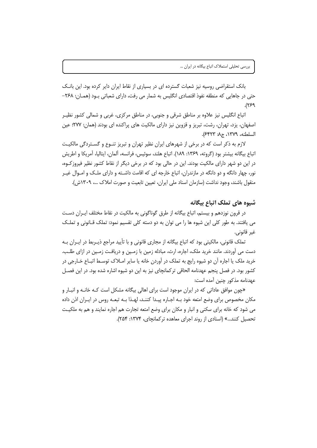بانک استقراضی روسیه نیز شعبات گسترده ای در بسیاری از نقاط ایران دایر کرده بود. این بانـک حتی در جاهایی که منطقه نفوذ اقتصادی انگلیس به شمار می رفت، دارای شعباتی بـود (همـان: ۲۶۸– ۶۶۹).

اتباع انگلیس نیز علاوه بر مناطق شرقی و جنوبی، در مناطق مرکزی، غربی و شمالی کشور نظیـر اصفهان، یزد، تهران، رشت، تبریز و قزوین نیز دارای مالکیت های پراکنده ای بودند (همان: ۲۷۷؛ عین السلطنه، ١٣٧٩، ج٨: ٤۴٢٣).

لازم به ذکر است که در برخی از شهرهای ایران نظیر تهران و تبریز تنـوع و گسـتردگی مالکیـت اتباع بيگانه بيشتر بود (گروته، ١٣۶٩: ١٨٩). اتباع هلند، سوئيس، فرانسه، آلمان، ايتاليا، آمريكا و اطريش در این دو شهر دارای مالکیت بودند. این در حالی بود که در برخی دیگر از نقاط کشور نظیر فیروز کـوه، نور، چهار دانگه و دو دانگه در مازندران، اتباع خارجه ای که اقامت داشـته و دارای ملـک و امـوال غیـر منقول باشند، وجود نداشت (سازمان اسناد ملی ایران، تعیین تابعیت و صورت املاک …، ۱۳۰۹ش).

# شیوه های تملک اتباع بیگانه

در قرون نوزدهم و بیستم، اتباع بیگانه از طرق گوناگونی به مالکیت در نقاط مختلف ایـران دسـت می یافتند. به طور کلی این شیوه ها را می توان به دو دسته کلی تقسیم نمود: تملک قــانونی و تملــک غير قانوني.

تملک قانونی، مالکیتی بود که اتباع بیگانه از مجاری قانونی و با تأیید مراجع ذیـربط در ایـران بـه دست می آوردند. مانند خرید ملک، اجاره، ارث، مبادله زمین با زمـین و دریافـت زمـین در ازای طلـب. خرید ملک یا اجاره آن دو شیوه رایج به تملک در آوردن خانه یا سایر امـلاک توسـط اتبـاع خـارجی در کشور بود. در فصل پنجم عهدنامه الحاقی تر کمانچای نیز به این دو شیوه اشاره شده بود. در این فصـل عهدنامه مذكور چنين آمده است:

«چون موافق عاداتی که در ایران موجود است برای اهالی بیگانه مشکل است کـه خانـه و انبـار و مکان مخصوص برای وضع امتعه خود بـه اجـاره پيـدا کننـد، لهـذا بـه تبعـه روس در ايـران اذن داده می شود که خانه برای سکنی و انبار و مکان برای وضع امتعه تجارت هم اجاره نمایند و هم به ملکیت تحصیل کنند...» (اسنادی از روند اجرای معاهده ترکمانچای، ۱۳۷۴: ۲۵۴).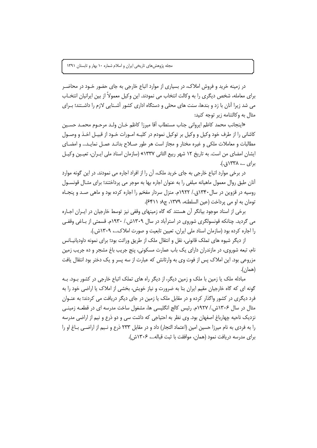در زمینه خرید و فروش املاک، در بسیاری از موارد اتباع خارجی به جای حضور خــود در محاضــر برای معامله، شخص دیگری را به وکالت انتخاب می نمودند. این وکیل معمولاً از بین ایرانیان انتخــاب می شد زیرا آنان با زد و بندها، سنت های محلی و دستگاه اداری کشور آشـنایی لازم را داشـتند؛ بـرای مثال به وكالتنامه زير توجه كنيد:

«اينجانب محمد كاظم ايرواني جناب مستطاب آقا ميرزا كاظم خـان ولـد مرحـوم محمـد حسـين کاشانی را از طرف خود وکیل و وکیل بر توکیل نمودم در کلیـه امـورات خـود از قبیـل اخـذ و وصـول مطالبات و معاملات ملکی و غیره مختار و مجاز است هر طور صـلاح بدانـد عمـل نمایـد... و امضـای ایشان امضای من است. به تاریخ ۱۲ شهر ربیع الثانی ۱۳۳۷» (سازمان اسناد ملی ایـران، تعیـین وکیـل برای ...، ۱۳۳۸ق.).

در برخی موارد اتباع خارجی به جای خرید ملک، آن را از افراد اجاره می نمودند. در این گونه موارد آنان طبق روال معمول ماهیانه مبلغی را به عنوان اجاره بها به موجر می پرداختند؛ برای مثـال قونســول روسیه در قزوین در سال ۱۳۴۰ق./ ۱۹۲۲م. منزل سردار مفخم را اجاره کرده بود و ماهی صـد و پنجـاه تومان به او می پرداخت (عین السلطنه، ۱۳۷۹، ج۸: ۶۴۱۱).

برخی از اسناد موجود بیانگر آن هستند که گاه زمینهای وقفی نیز توسط خارجیان در ایـران اجـاره می گردید. چنانکه قونسولگری شوروی در استرآباد در سال ۱۳۰۹ش./ ۱۹۳۰م. قسمتی از بـاغی وقفـی را اجاره کرده بود (سازمان اسناد ملی ایران، تعیین تابعیت و صورت املاک...، ۱۳۰۹ش.).

از دیگر شیوه های تملک قانونی، نقل و انتقال ملک از طریق وراثت بود؛ برای نمونه داودیانیــانس نام، تبعه شوروی، در مازندران دارای یک باب عمارت مسکونی، پنج جریب باغ مشجر و ده جریب زمین مزروعی بود. این املاک پس از فوت وی به وارثانش که عبارت از سه پسر و یک دختر بود انتقال یافت (همان).

مبادله ملک یا زمین با ملک و زمین دیگر، از دیگر راه های تملک اتباع خارجی در کشور بـود. بـه گونه ای که گاه خارجیان مقیم ایران بنا به ضرورت و نیاز خویش، بخشی از املاک یا اراضی خود را به فرد دیگری در کشور واگذار کرده و در مقابل ملک یا زمین در جای دیگر دریافت می کردند؛ به عنــوان مثال در سال ۱۳۰۶ش./ ۱۹۲۷م. رئیس کالج انگلیسی ها، مشغول ساخت مدرسه ای در قطعـه زمینـی نزدیک ناحیه چهارباغ اصفهان بود. وی نظر به احتیاجی که داشت سی و دو ذرع و نیم از اراضی مدرسه را به فردی به نام میرزا حسین امین (اعتماد التجار) داد و در مقابل ۲۳۳ ذرع و نـیم از اراضـی بــاغ او را برای مدرسه دریافت نمود (همان، موافقت با ثبت قباله...، ١٣٠۶ش).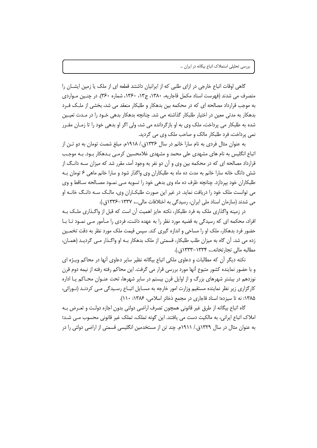گاهی اوقات اتباع خارجی در ازای طلبی که از ایرانیان داشتند قطعه ای از ملک یا زمین ایشــان را متصرف می شدند (فهرست اسناد مکمل قاجاریه، ۱۳۸۰، ج۱۳، ۱۳۶۰، شماره ۳۶۰). در چنس مواردی به موجب قرارداد مصالحه ای که در محکمه بین بدهکار و طلبکار منعقد می شد، بخشی از ملـک فـرد بدهکار به مدتی معین در اختیار طلبکار گذاشته می شد. چنانچه بدهکار بدهی خـود را در مـدت تعیـین شده به طلبکار می پرداخت، ملک وی به او بازگردانده می شد، ولی اگر او بدهی خود را تا زمـان مقـرر نمی پرداخت، فرد طلبکار مالک و صاحب ملک وی می گردید.

به عنوان مثال فردی به نام سارا خانم در سال ۱۳۳۶ق./ ۱۹۱۸م. مبلغ شصت تومان به دو تـن از اتباع انگلیس به نام های مشهدی علی محمد و مشهدی غلامحسین کرمـی بـدهکار بـود. بـه موجـب قرارداد مصالحه ای که در محکمه بین وی و آن دو نفر به وجود آمد، مقرر شد که میزان سـه دانـگ از شش دانگ خانه سارا خانم به مدت ده ماه به طلبکاران وی واگذار شود و سارا خانم ماهی ۶ تومان بـه طلبکاران خود بپردازد. چنانچه ظرف ده ماه وی بدهی خود را تسویه مـی نمـود مصـالحه سـاقط و وی می توانست ملک خود را دریافت نماید. در غیر این صورت طلبکـاران وی، مالـک سـه دانـگ خانـه او می شدند (سازمان اسناد ملی ایران، رسیدگی به اختلافات مالی...، ١٣٣٧-١٣٣۶ق.).

در زمینه واگذاری ملک به فرد طلبکار، نکته حایز اهمیت آن است که قبل از واگـذاری ملـک بـه افراد، محکمه ای که رسیدگی به قضیه مورد نظر را به عهده داشت، فردی را مـأمور مـی نمـود تـا بـا حضور فرد بدهکار، ملک او را مساحی و اندازه گیری کند. سپس قیمت ملک مورد نظر به دقت تخمـین زده می شد. اَن گاه به میزان طلب طلبکار، قسمتی از ملک بدهکار بـه او واگـذار مـی گردیـد (همـان، مطالبه مالي تجارتخانه...، ١٣٣٣-١٣٣٣ق.).

نکته دیگر آن که مطالبات و دعاوی ملکی اتباع بیگانه نظیر سایر دعاوی آنها در محاکم ویـژه ای و با حضور نماینده کشور متبوع آنها مورد بررسی قرار می گرفت. این محاکم رفته رفته از نیمه دوم قرن نوزدهم در بیشتر شهرهای بزرگ و از اوایل قرن بیستم در سایر شهرها، تحت عنـوان محـاکم یـا اداره کارگزاری زیر نظر نماینده مستقیم وزارت امور خارجه به مسـایل اتبــاع رسـیدگی مــی کردنــد (نــورائی، ۱۳۸۵: نه تا سیزده؛ اسناد قاجاری در مجمع ذخائر اسلامی، ۱۳۸۶: ١١٠).

گاه اتباع بیگانه از طرق غیر قانونی همچون تصرف اراضی دولتی بدون اجازه دولت و تعـرض بـه املاک اتباع ایرانی، به مالکیت دست می یافتند. این گونه تملک، تملک غیر قانونی محسوب مـی شـد؛ به عنوان مثال در سال ۱۳۲۹ق./ ۱۹۱۱م. چند تن از مستخدمین انگلیسی قسمتی از اراضی دولتی را در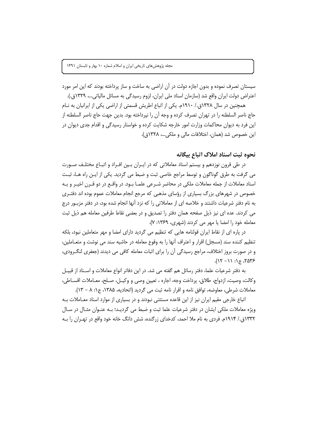سیستان تصرف نموده و بدون اجازه دولت در آن اراضی به ساخت و ساز پرداخته بودند که این امر مورد اعتراض دولت ایران واقع شد (سازمان اسناد ملی ایران، لزوم رسیدگی به مسائل مالیاتی…، ۱۳۲۹ق.).

همچنین در سال ۱۳۲۸ق./ ۱۹۱۰م. یکی از اتباع اطریش قسمتی از اراضی یکی از ایرانیان به نـام حاج ناصر السلطنه را در تهران تصرف كرده و وجه أن را نيرداخته بود. بدين جهت حاج ناصر السلطنه از این فرد به دیوان محاکمات وزارت امور خارجه شکایت کرده و خواستار رسیدگی و اقدام جدی دیوان در این خصوص شد (همان، اختلافات مالی و ملکی...، ۱۳۲۸ق).

نحوه ثبت اسناد املاک اتباع بیگانه

در طی قرون نوزدهم و بیستم اسناد معاملاتی که در ایـران بـین افـراد و اتبـاع مختلـف صـورت می گرفت به طرق گوناگون و توسط مراجع خاصی ثبت و ضبط می گردید. یکی از ایـن راه هـا، ثبـت اسناد معاملات از جمله معاملات ملکی در محاضر شـرعی علمـا بـود. در واقـع در دو قـرن اخیـر و بـه خصوص در شهرهای بزرگ بسیاری از رؤسای مذهبی که مرجع انجام معاملات عموم بوده اند دفتـری به نام دفتر شرعیات داشتند و خلاصه ای از معاملاتی را که نزد آنها انجام شده بود، در دفتر مزبـور درج می کردند. عده ای نیز ذیل صفحه همان دفتر را تصدیق و در بعضی نقاط طرفین معامله هم ذیل ثبت معامله خود را امضا یا مهر می کردند (شهری، ۱۳۶۹: ۷).

در یاره ای از نقاط ایران قولنامه هایی که تنظیم می گردید دارای امضا و مهر متعاملین نبود، بلکه تنظیم کننده سند (مسجل) اقرار و اعتراف آنها را به وقوع معامله در حاشیه سند می نوشت و متعـاملین، و در صورت بروز اختلاف، مراجع رسیدگی آن را برای اثبات معامله کافی می دیدند (جعفری لنگ رودی،  $(17 - 11)$ ;  $5875$ 

به دفتر شرعیات علما، دفتر رسائل هم گفته می شد. در این دفاتر انواع معاملات و اسـناد از قبیــل وكالت، وصيت، ازدواج، طلاق، پرداخت وجه، اجاره ، تعيين وصي و وكيـل، صـلح، معـاملات اقســاطي، معاملات شرطي، معاوضه، توافق نامه و اقرار نامه ثبت مي گرديد (اتحاديه، ١٣٨۵، ج١: ٨ – ١٣).

اتباع خارجی مقیم ایران نیز از این قاعده مستثنی نبودند و در بسیاری از موارد اسناد معـاملات بـه ویژه معاملات ملکی ایشان در دفتر شرعیات علما ثبت و ضبط می گردیـد؛ بـه عنـوان مثـال در سـال ۱۳۳۲ق./ ۱۹۱۴م. فردی به نام ملا احمد، کدخدای زرگنده، شش دانگ خانه خود واقع در تهـران را بـه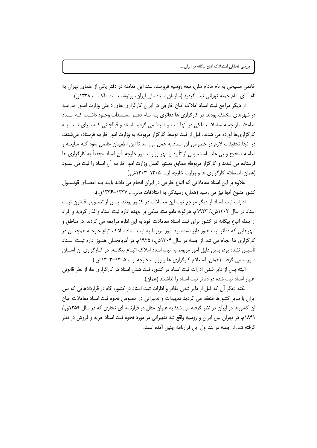خانمی مسیحی به نام مادام هلن، تبعه روسیه فروخت. سند این معامله در دفتر یکی از علمای تهران به نام آقای امام جمعه تهرانی ثبت گردید (سازمان اسناد ملی ایران، رونوشت سند ملک …، ۱۳۳۸ق).

از دیگر مراجع ثبت اسناد املاک اتباع خارجی در ایران کارگزاری های داخلی وزارت امــور خارجــه در شهرهای مختلف بودند. در کارگزاری ها دفاتری بـه نـام دفتـر مسـتندات وجـود داشـت کـه اسـناد معاملات از جمله معاملات ملکی در آنها ثبت و ضبط می گردید. اسناد و قبالجاتی کـه بـرای ثبـت بـه کارگزاریها آورده می شدند، قبل از ثبت توسط کارگزار مربوطه به وزارت امور خارجه فرستاده میشدند. در آنجا تحقیقات لازم در خصوص آن اسناد به عمل می آمد تا این اطمینان حاصل شود کـه مبایعـه و معامله صحیح و بی علت است. پس از تأیید و مهر وزارت امور خارجه، آن اسناد مجدداً به کارگزاری ها فرستاده می شدند و کارگزار مربوطه مطابق دستور العمل وزارت امور خارجه آن اسناد را ثبت می نمـود (همان، استعلام کارگزاری ها و وزارت خارجه از ۶۰۰۰–۱۳۰۳ش.).

علاوه بر این اسناد معاملاتی که اتباع خارجی در ایران انجام می دادند بایـد بـه امضـای قونسـول کشور متبوع آنها نیز می رسید (همان، رسیدگی به اختلافات مالی…، ۱۳۳۷–۱۳۳۶ق.).

ادارات ثبت اسناد از دیگر مراجع ثبت این معاملات در کشور بودند. پـس از تصـویب قـانون ثبـت اسناد در سال ۱۳۰۲ش./ ۱۹۲۳م. هرگونه دادو ستد ملکی بر عهده اداره ثبت اسناد واگذار گردید و افراد از جمله اتباع بیگانه در کشور برای ثبت اسناد معاملات خود به این اداره مراجعه می کردند. در مناطق و شهرهايي كه دفاتر ثبت هنوز داير نشده بود امور مربوط به ثبت اسناد املاک اتباع خارجـه همچنــان در کارگزاری ها انجام می شد. از جمله در سال ۱۳۰۴ش./ ۱۹۲۵م. در آذربایجـان هنـوز اداره ثبـت اسـناد تأسیس نشده بود، بدین دلیل امور مربوط به ثبت اسناد املاک اتبــاع بیگانــه، در کــارگزاری آن اســتان صورت می گرفت (همان، استعلام کارگزاری ها و وزارت خارجه از ...، ۱۳۰۵–۱۳۰۳ش.).

البته پس از دایر شدن ادارات ثبت اسناد در کشور، ثبت شدن اسناد در کارگزاری ها، از نظر قانونی اعتبار اسناد ثبت شده در دفاتر ثبت اسناد را نداشتند (همان).

نکته دیگر آن که قبل از دایر شدن دفاتر و ادارات ثبت اسناد در کشور، گاه در قراردادهایی که بین ایران با سایر کشورها منعقد می گردید تمهیدات و تدبیراتی در خصوص نحوه ثبت اسناد معاملات اتباع آن کشورها در ایران در نظر گرفته می شد؛ به عنوان مثال در قرارنامه ای تجاری که در سال ۱۲۵۹ق./ ۱۸۴۱م. در تهران بین ایران و روسیه واقع شد تدبیراتی در مورد نحوه ثبت اسناد خرید و فروش در نظر گرفته شد. از جمله در بند اول این قرارنامه چنین آمده است: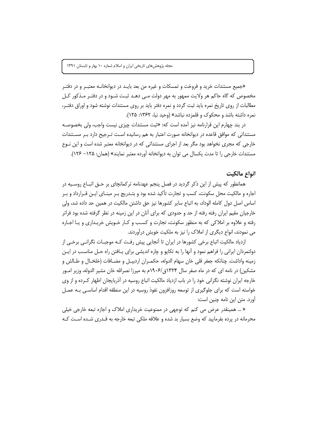«جميع مستندات خريد و فروخت و تمسكات و غيره من بعد بايـد در ديوانخانـه معتبـر و در دفتـر مخصوص که گاه حاکم هر ولایت ممهور به مهر دولت مے دهـد ثبـت شـود و در دفتـر مـذکور کـل مطالبات از روی تاریخ نمره باید ثبت گردد و نمره دفتر باید بر روی مستندات نوشته شود و اوراق دفتـر، نمره داشته باشد و محکوک و قلمزده نباشد» (وحید نیا، ۱۳۶۲: ۱۲۵).

در بند چهارم این قرارنامه نیز آمده اس*ت* که: «ثبت مستندات چیزی نیست واجب، ولی بخصوصـه مستنداتی که موافق قاعده در دیوانخانه صورت اعتبار به هم رسانیده است تـرجیح دارد بـر مسـتندات خارجی که مجری نخواهد بود مگر بعد از اجرای مستنداتی که در دیوانخانه معتبر شده است و این نـوع مستندات خارجی را تا مدت یکسال می توان به دیوانخانه آورده معتبر نمایند» (همان: ۱۲۵– ۱۲۶).

# انواع مالكيت

همانطور که پیش از این ذکر گردید در فصل پنجم عهدنامه ترکمانچای بر حــق اتبــاع روسـیه در اجاره و مالکیت محل سکونت، کسب و تجارت تأکید شده بود و بتـدریج بـر مبنـای ایـن قـرارداد و بـر اساس اصل دول کامله الوداد، به اتباع سایر کشورها نیز حق داشتن مالکیت در همین حد داده شد، ولی خارجیان مقیم ایران رفته رفته از حد و حدودی که برای آنان در این زمینه در نظر گرفته شده بود فراتر رفته و علاوه بر املاکی که به منظور سکونت، تجارت و کسب و کـار خـویش خریـداری و یـا اجـاره می نمودند، انواع دیگری از املاک را نیز به ملکیت خویش درآوردند.

ازدیاد مالکیت اتباع برخی کشورها در ایران تا آنجایی پیش رفت کـه موجبـات نگرانـی برخـی از دولتمردان ایرانی را فراهم نمود و آنها را به تکایو و چاره اندیشی برای پـافتن راه حـل مناسـب در ایـن زمينه واداشت. چنانكه جعفر قلي خان سهام الدوله، حكمـران اردبيـل و مضـافات (خلخـال و طـالش و مشکین) در نامه ای که در ماه صفر سال ۱۳۲۴ق/۱۹۰۶م به میرزا نصرالله خان مشیر الدوله، وزیر امـور خارجه ایران نوشته نگرانی خود را در باب ازدیاد مالکیت اتباع روسیه در آذربایجان اظهار کرده و از وی خواسته است که برای جلوگیری از توسعه روزافزون نفوذ روسیه در این منطقه اقدام اساسی بـه عمـل آورد. متن این نامه چنین است:

« … همینقدر عرض می کنم که توجهی در ممنوعیت خریداری املاک و اجازه تبعه خارجی خیلی محرمانه در پرده بفرمایید که وضع بسیار بد شده و علاقه ملکی تبعه خارجه به قـدری شـده اسـت کـه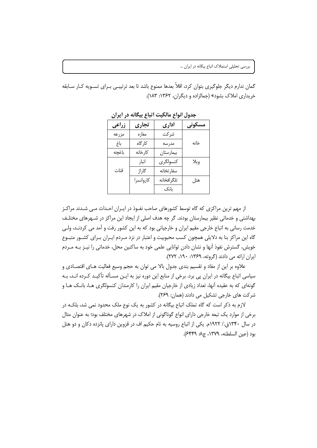گمان ندارم دیگر جلوگیری بتوان کرد، اقلاً بعدها ممنوع باشد تا بعد ترتیبـی بـرای تسـویه کــار ســابقه خریداری املاک بشود» (جمالزاده و دیگران، ۱۳۶۲: ۱۸۳).

| زراعى | تجارى     | اداري      | مسكوني |
|-------|-----------|------------|--------|
| مزرعه | مغازه     | شركت       |        |
| باغ   | كارگاه    | مدرسه      | خانه   |
| باغچه | كارخانه   | بيمارستان  |        |
|       | انبار     | كنسولگرى   | ويلا   |
| قنات  | گاراژ     | سفارتخانه  |        |
|       | كاروانسرا | تلگرافخانه | هتل    |
|       |           | بانک       |        |

حدول انواع مالکت اتباع بیگانه در ایران

از مهم ترین مراکزی که گاه توسط کشورهای صاحب نفـوذ در ایـران احـداث مـی شـدند مراکـز بهداشتی و خدماتی نظیر بیمارستان بودند. گر چه هدف اصلی از ایجاد این مراکز در شـهرهای مختلـف خدمت رسانی به اتباع خارجی مقیم ایران و خارجیانی بود که به این کشور رفت و آمد می کردنـد، ولـی گاه این مراکز بنا به دلایلی همچون کسب محبوبیت و اعتبار در نزد مـردم ایـران بـرای کشـور متبـوع خویش، گسترش نفوذ آنها و نشان دادن توانایی علمی خود به ساکنین محل، خدماتی را نیـز بـه مـردم ایران ارائه می دادند (گروته، ۱۳۶۹: ۱۹۰، ۲۷۲).

علاوه بر این از مفاد و تقسیم بندی جدول بالا می توان به حجم وسیع فعالیت هـای اقتصـادی و سیاسی اتباع بیگانه در ایران پی برد. برخی از منابع این دوره نیز به ایــن مسـأله تأکیــد کــرده انــد، بــه گونهای که به عقیده آنها، تعداد زیادی از خارجیان مقیم ایران را کارمندان کنسولگری هـا، بانـک هـا و شركت هاي خارجي تشكيل مي دادند (همان: ٢۶٩).

لازم به ذکر است که گاه تملک اتباع بیگانه در کشور به یک نوع ملک محدود نمی شد، بلکـه در برخی از موارد یک تبعه خارجی دارای انواع گوناگونی از املاک در شهرهای مختلف بود؛ به عنوان مثال در سال ۱۳۴۰ق./ ۱۹۲۲م. یکی از اتباع روسیه به نام حکیم اف در قزوین دارای پانزده دکان و دو هتل بود (عين السلطنه، ١٣٧٩، ج٨: ٤٤٤٩).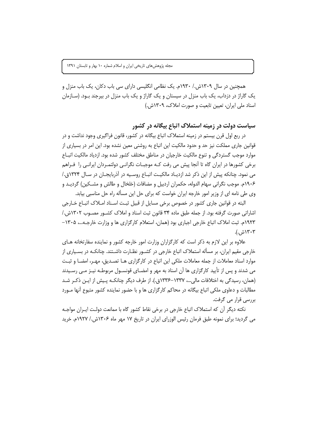همچنین در سال ۱۳۰۹ش./ ۱۹۳۰م. یک نظامی انگلیسی دارای سی باب دکان، یک باب منزل و یک گاراژ در دزداب، یک باب منزل در سیستان و یک گاراژ و یک باب منزل در بیرجند بـود. (سـازمان اسناد ملی ایران، تعیین تابعیت و صورت املاک، ۱۳۰۹ش.)

سیاست دولت در زمینه استملاک اتباع بیگانه در کشور

در ربع اول قرن بیستم در زمینه استملاک اتباع بیگانه در کشور، قانون فراگیری وجود نداشت و در قوانین جاری مملکت نیز حد و حدود مالکیت این اتباع به روشنی معین نشده بود. این امر در بسیاری از موارد موجب گستردگی و تنوع مالکیت خارجیان در مناطق مختلف کشور شده بود. ازدیاد مالکیت اتبـاع برخی کشورها در ایران گاه تا آنجا پیش می رفت کـه موجبـات نگرانـی دولتمـردان ایرانـی را فـراهم می نمود. چنانکه پیش از این ذکر شد ازدیـاد مالکیـت اتبـاع روسـیه در آذربایجـان در سـال ۱۳۲۴ق./ ۱۹۰۶م. موجب نگرانی سهام الدوله، حکمران اردبیل و مضافات (خلخال و طالش و مشــکین) گردیــد و وی طی نامه ای از وزیر امور خارجه ایران خواست که برای حل این مسأله راه حل مناسبی بیابد.

البته در قوانین جاری کشور در خصوص برخی مسایل از قبیل ثبت اسـناد امـلاک اتبـاع خـارجی اشاراتی صورت گرفته بود. از جمله طبق ماده ۳۴ قانون ثبت اسناد و املاک کشـور مصـوب ۱۳۰۲ش./ ۱۹۲۳م. ثبت املاک اتباع خارجی اجباری بود (همان، استعلام کارگزاری ها و وزارت خارجـه...، ۱۳۰۵– ۱۳۰۳ش.).

علاوه بر این لازم به ذکر است که کارگزاران وزارت امور خارجه کشور و نماینده سفارتخانه هـای خارجی مقیم ایران، بر مسأله استملاک اتباع خارجی در کشــور نظــارت داشــتند. چنانکــه در بســیاری از موارد اسناد معاملات از جمله معاملات ملکی این اتباع در کارگزاری هـا تصـدیق، مهـر، امضـا و ثبـت می شدند و پس از تأیید کارگزاری ها آن اسناد به مهر و امضـای قونسـول مربوطـه نیـز مـی رسـیدند (همان، رسیدگی به اختلافات مالی…، ۱۳۳۷–۱۳۳۶ق.). از طرف دیگر چنانکـه پـیش از ایـن ذکـر شـد مطالبات و دعاوی ملکی اتباع بیگانه در محاکم کارگزاری ها و با حضور نماینده کشور متبوع آنها مـورد بررسی قرار می گرفت.

نکته دیگر آن که استملاک اتباع خارجی در برخی نقاط کشور گاه با ممانعت دولت ایـران مواجـه می گردید؛ برای نمونه طبق فرمان رئیس الوزرای ایران در تاریخ ۱۷ مهر ماه ۱۳۰۶ش./ ۱۹۲۷م. خرید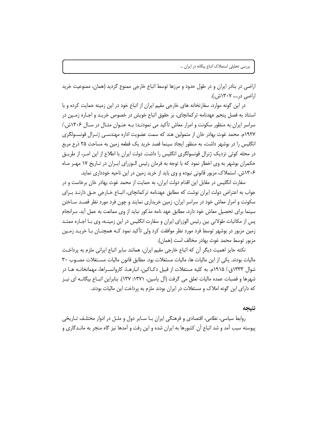اراضی در بنادر ایران و در طول حدود و مرزها توسط اتباع خارجی ممنوع گردید (همان، ممنوعیت خرید اراضی در...، ۱۳۰۷ش.).

در این گونه موارد، سفارتخانه های خارجی مقیم ایران از اتباع خود در این زمینه حمایت کرده و با استناد به فصل پنجم عهدنامه ترکمانچای، بر حقوق اتباع خویش در خصوص خریـد و اجـاره زمـین در سراسر ایران به منظور سکونت و امرار معاش تأکید می نمودنـد؛ بـه عنـوان مثـال در سـال ۱۳۰۶ش./ ١٩٢٧م. محمد غوث بهادر خان از متمولين هند كه سمت عضويت اداره مهندسـي ژنــرال قونســولگرى انگلیس را در بوشهر داشت، به منظور ایجاد سینما قصد خرید یک قطعه زمین به مساحت ۲۵ ذرع مربع در محله کوتی نزدیک ژنرال قونسولگری انگلیس را داشت. دولت ایران با اطلاع از این امـر، از طریــق حکمران بوشهر به وی اخطار نمود که با توجه به فرمان رئیس الـوزرای ایـران در تـاریخ ۱۷ مهـر مـاه ۱۳۰۶ش. استملاک مزبور قانونی نبوده و وی باید از خرید زمین در این ناحیه خودداری نماید.

سفارت انگلیس در مقابل این اقدام دولت ایران، به حمایت از محمد غوث بهادر خان برخاست و در جواب به اعتراض دولت ایران نوشت که مطابق عهدنامه ترکمانچای، اتبـاع خـارجی حــق دارنــد بــرای سکونت و امرار معاش خود در سراسر ایران، زمین خریداری نمایند و چون فرد مورد نظر قصـد سـاختن سینما برای تحصیل معاش خود دارد، مطابق عهد نامه مذکور نباید از وی ممانعت به عمل آید. سرانجام پس از مکاتبات طولانی بین رئیس الوزرای ایران و سفارت انگلیس در این زمینــه، وی بــا اجــاره ممتــد زمین مزبور در بوشهر توسط فرد مورد نظر موافقت کرد ولی تأکید نمود کـه همچنـان بـا خریـد زمـین مزبور توسط محمد غوث بهادر مخالف است (همان).

نكته حايز اهميت ديگر آن كه اتباع خارجي مقيم ايران، همانند ساير اتباع ايراني ملزم به پرداخت ماليات بودند. يكي از اين ماليات ها، ماليات مستغلات بود. مطابق قانون ماليات مستغلات مصـوب ٣٠ شوال ۱۳۳۳ق./ ۱۹۱۵م. به کلیه مستغلات از قبیل دکـاکین، انبارهـا، کاروانســراها، مهمانخانــه هــا در شهرها و قصبات عمده ماليات تعلق مي گرفت (آل ياسين، ١٣٧١: ١٣٧). بنابراين اتبـاع بيگانــه اي نيـز که دارای این گونه املاک و مستغلات در ایران بودند ملزم به پرداخت این مالیات بودند.

#### نتىحە

روابط سیاسی، نظامی، اقتصادی و فرهنگی ایران بـا سـایر دول و ملـل در ادوار مختلـف تـاریخی پیوسته سبب آمد و شد اتباع آن کشورها به ایران شده و این رفت و آمدها نیز گاه منجر به مانـدگاری و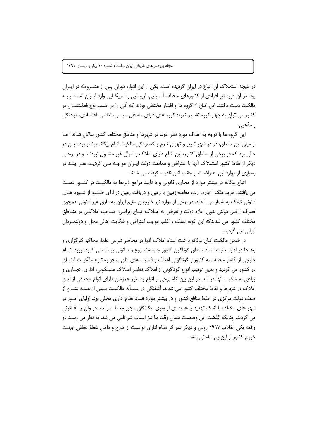در نتیجه استملاک آن اتباع در ایران گردیده است. یکی از این ادوار، دوران پس از مشــروطه در ایــران بود. در آن دوره نیز افرادی از کشورهای مختلف آسـیایی، اروپــایی و آمریکــایی وارد ایــران شــده و بــه مالکیت دست یافتند. این اتباع از گروه ها و اقشار مختلفی بودند که آنان را بر حسب نوع فعالیتشــان در کشور می توان به چهار گروه تقسیم نمود: گروه های دارای مشاغل سیاسی، نظامی، اقتصادی، فرهنگی و مذهبي.

این گروه ها با توجه به اهداف مورد نظر خود، در شهرها و مناطق مختلف کشور ساکن شدند؛ امـا از ميان اين مناطق، در دو شهر تبريز و تهران تنوع و گستردگي مالكيت اتباع بيگانه بيشتر بود. ايـن در حالي بود که در برخي از مناطق کشور، اين اتباع داراي املاک و اموال غير منقــول نبودنــد و در برخــي دیگر از نقاط کشور استملاک اًنها با اعتراض و ممانعت دولت ایـران مواجـه مـی گردیـد. هـر چنـد در بسیاری از موارد این اعتراضات از جانب آنان نادیده گرفته می شدند.

اتباع بیگانه در بیشتر موارد از مجاری قانونی و با تأیید مراجع ذیربط به مالکیت در کشـور دسـت می یافتند. خرید ملک، اجاره، ارث، معامله زمین با زمین و دریافت زمین در ازای طلـب، از شـیوه هــای قانونی تملک به شمار می آمدند. در برخی از موارد نیز خارجیان مقیم ایران به طرق غیر قانونی همچون تصرف اراضی دولتی بدون اجازه دولت و تعرض به امــلاک اتبــاع ایرانــی، صــاحب املاکــی در منــاطق مختلف کشور می شدندکه این گونه تملک ، اغلب موجب اعتراض و شکایت اهالی محل و دولتمـردان ایرانی می گردید.

در ضمن مالکیت اتباع بیگانه با ثبت اسناد املاک آنها در محاضر شرعی علما، محاکم کارگزاری و بعد ها در ادارات ثبت اسناد مناطق گوناگون کشور جنبه مشـروع و قـانونی پیـدا مـی کـرد. ورود اتبــاع خارجی از اقشار مختلف به کشور و گوناگونی اهداف و فعالیت های آنان منجر به تنوع مالکیت ایشــان در کشور می گردید و بدین ترتیب انواع گوناگونی از املاک نظیـر امـلاک مســکونی، اداری، تجــاری و زراعی به ملکیت آنها در آمد. در این بین گاه برخی از اتباع به طور همزمان دارای انواع مختلفی از ایــن املاک در شهرها و نقاط مختلف کشور می شدند. آشفتگی در مسـأله مالکیـت بـیش از همـه نشـان از ضعف دولت مرکزی در حفظ منافع کشور و در بیشتر موارد فساد نظام اداری محلی بود. اولیای امــور در شهر های مختلف با اندک تهدید یا هدیه ای از سوی بیگانگان مجوز معاملـه را صـادر وآن را قـانونی می کردند. چنانکه گذشت این وضعییت همان وقت ها نیز اسباب شر تلقی می شد. به نظر می رسـد دو واقعه یکی انقلاب ۱۹۱۷ روس و دیگر تمر کز نظام اداری توانست از خارج و داخل نقطهٔ عطفی جهت خروج کشور از این بی سامانی باشد.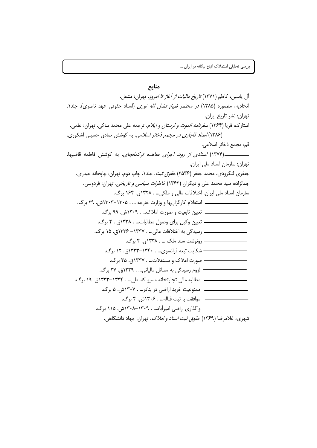منابع آل ياسين، كاظم (١٣٧١) *تاريخ ماليات از أغاز تا امروز*. تهران: مشعل. اتحادیه، منصوره (۱۳۸۵) *در محضر شیخ فضل الله نوری* (اسناد حقوقی عهد ناصری). جلد۱. تهران: نشر تاريخ ايران. استارک، فریا (۱۳۶۴*) سفرنامه الموت و لرستان و ایلام.* ترجمه علی محمد ساکی. تهران: علمی. \_\_\_\_\_\_\_\_\_\_\_\_ (۱۳۸۶) *اسناد قاجاری در مجمع ذخائر اسلامی*. به کوشش صادق حسینی اشکوری. قم: مجمع ذخائر اسلامي. تهران: سازمان اسناد ملی ایران. جعفري لنگرودي، محمد جعفر (۲۵۳۶) *حقوق ثبت.* جلد۱. چاپ دوم. تهران: چايخانه حيدري. جمالزاده، سید محمد علی و دیگران (۱۳۶۲) *خاطرات سیاسی و تاریخی.* تهران: فردوسی. سازمان اسناد ملي ايران. اختلافات مالي و ملكي... . ١٣٢٨ق. ١۶۴ برگ. \_\_\_\_\_\_\_\_\_\_\_\_\_ |ستعلام کارگزاریها و وزارت خارجه ... . ۱۳۰۵–۱۳۰۳ش. ۲۹ برگ. \_\_\_\_\_\_\_\_\_\_ تعیین تابعیت و صورت املاک… . ۱۳۰۹ش. ۹۹ برگ. – شکایت تبعه فرانسوی... . ۱۳۴۰–۱۳۳۳ق. ۱۲ برگ. – صورت املاک و مستغلات... . ۱۳۳۷ق. ۳۵ برگ. - لزوم رسیدگی به مسائل مالیاتی... . ۱۳۳۹ق. ۳۷ برگ. ـــ مطالبه مالي تجارتخانه مسيو كاسطي... . ١٣٣٣-١٣٣٣ق. ١٩ برگ. شهري، غلامرضا (۱۳۶۹) ح*قوق ثبت اسناد و املاک.* تهران: جهاد دانشگاهي.